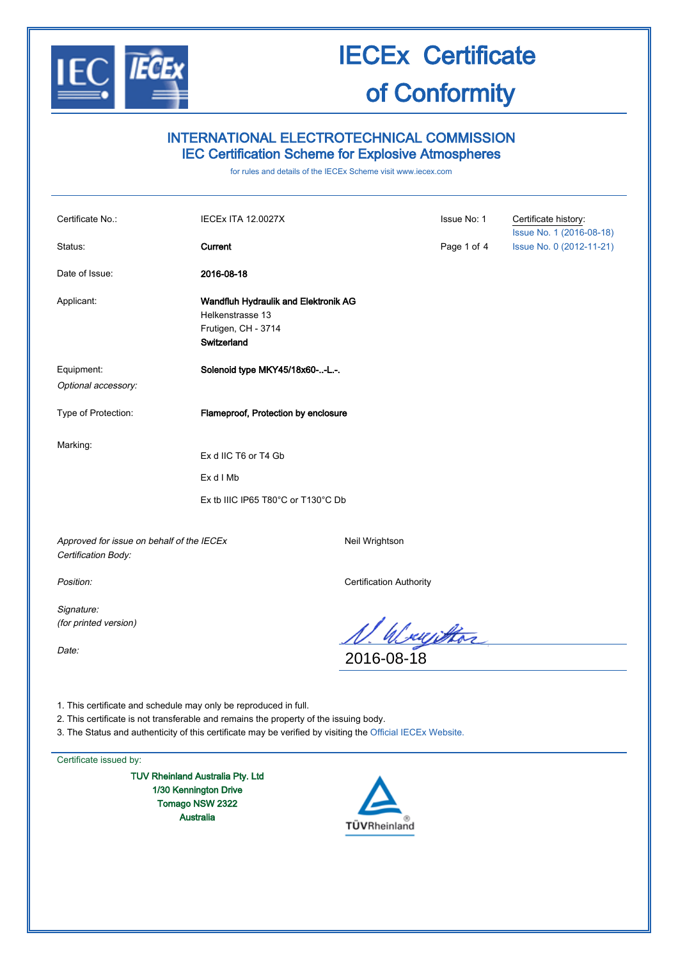

### INTERNATIONAL ELECTROTECHNICAL COMMISSION IEC Certification Scheme for Explosive Atmospheres

for rules and details of the IECEx Scheme visit www.iecex.com

| Certificate No.:                          | <b>IECEX ITA 12.0027X</b>                                                                      |                | Issue No: 1 | Certificate history:<br>Issue No. 1 (2016-08-18) |
|-------------------------------------------|------------------------------------------------------------------------------------------------|----------------|-------------|--------------------------------------------------|
| Status:                                   | Current                                                                                        |                | Page 1 of 4 | Issue No. 0 (2012-11-21)                         |
| Date of Issue:                            | 2016-08-18                                                                                     |                |             |                                                  |
| Applicant:                                | Wandfluh Hydraulik and Elektronik AG<br>Helkenstrasse 13<br>Frutigen, CH - 3714<br>Switzerland |                |             |                                                  |
| Equipment:<br>Optional accessory:         | Solenoid type MKY45/18x60--L.-.                                                                |                |             |                                                  |
| Type of Protection:                       | Flameproof, Protection by enclosure                                                            |                |             |                                                  |
| Marking:                                  | Ex d IIC T6 or T4 Gb<br>Ex d I Mb<br>Ex tb IIIC IP65 T80°C or T130°C Db                        |                |             |                                                  |
| Approved for issue on behalf of the IECEx |                                                                                                | Neil Wrightson |             |                                                  |

Approved for issue on behalf of the IECEx Certification Body:

Signature: (for printed version)

Date:

Position: Certification Authority

<u>N. Wayiktor</u><br>2016-08-18

1. This certificate and schedule may only be reproduced in full.

2. This certificate is not transferable and remains the property of the issuing body.

3. The Status and authenticity of this certificate may be verified by visiting the Official IECEx Website.

Certificate issued by:

TUV Rheinland Australia Pty. Ltd 1/30 Kennington Drive Tomago NSW 2322 Australia

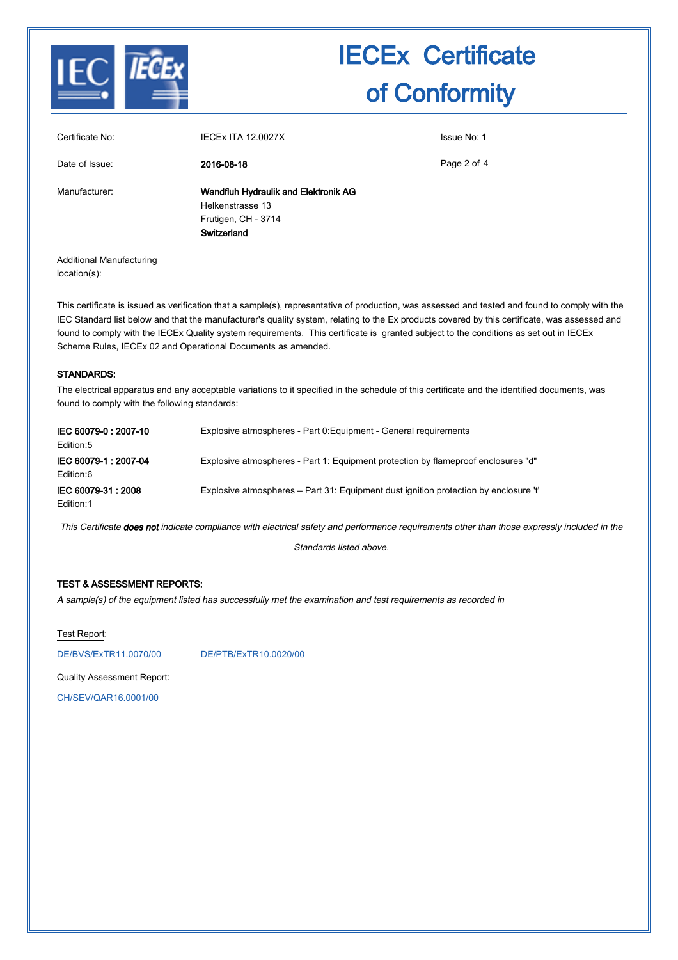

| Certificate No: | <b>IECEX ITA 12.0027X</b>                                                                      | Issue No: 1 |
|-----------------|------------------------------------------------------------------------------------------------|-------------|
| Date of Issue:  | 2016-08-18                                                                                     | Page 2 of 4 |
| Manufacturer:   | Wandfluh Hydraulik and Elektronik AG<br>Helkenstrasse 13<br>Frutigen, CH - 3714<br>Switzerland |             |
|                 |                                                                                                |             |

Additional Manufacturing location(s):

This certificate is issued as verification that a sample(s), representative of production, was assessed and tested and found to comply with the IEC Standard list below and that the manufacturer's quality system, relating to the Ex products covered by this certificate, was assessed and found to comply with the IECEx Quality system requirements. This certificate is granted subject to the conditions as set out in IECEx Scheme Rules, IECEx 02 and Operational Documents as amended.

#### STANDARDS:

The electrical apparatus and any acceptable variations to it specified in the schedule of this certificate and the identified documents, was found to comply with the following standards:

| IEC 60079-0: 2007-10<br>Edition:5 | Explosive atmospheres - Part 0: Equipment - General requirements                     |
|-----------------------------------|--------------------------------------------------------------------------------------|
| IEC 60079-1: 2007-04<br>Edition:6 | Explosive atmospheres - Part 1: Equipment protection by flameproof enclosures "d"    |
| IEC 60079-31 : 2008<br>Edition:1  | Explosive atmospheres – Part 31: Equipment dust ignition protection by enclosure 't' |

This Certificate does not indicate compliance with electrical safety and performance requirements other than those expressly included in the

Standards listed above.

#### TEST & ASSESSMENT REPORTS:

A sample(s) of the equipment listed has successfully met the examination and test requirements as recorded in

Test Report:

DE/BVS/ExTR11.0070/00 DE/PTB/ExTR10.0020/00

Quality Assessment Report:

CH/SEV/QAR16.0001/00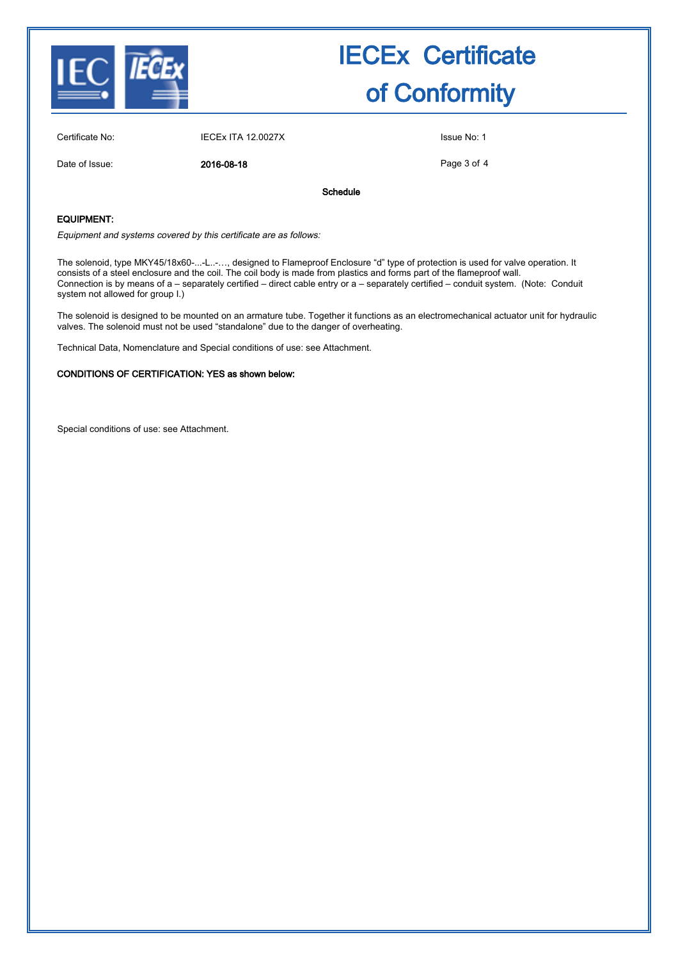

Certificate No: IECEx ITA 12.0027X Issue No: 1

Date of Issue: 2016-08-18

Page 3 of 4

Schedule

#### EQUIPMENT:

Equipment and systems covered by this certificate are as follows:

The solenoid, type MKY45/18x60-...-L..-…, designed to Flameproof Enclosure "d" type of protection is used for valve operation. It consists of a steel enclosure and the coil. The coil body is made from plastics and forms part of the flameproof wall. Connection is by means of a – separately certified – direct cable entry or a – separately certified – conduit system. (Note: Conduit system not allowed for group I.)

The solenoid is designed to be mounted on an armature tube. Together it functions as an electromechanical actuator unit for hydraulic valves. The solenoid must not be used "standalone" due to the danger of overheating.

Technical Data, Nomenclature and Special conditions of use: see Attachment.

#### CONDITIONS OF CERTIFICATION: YES as shown below:

Special conditions of use: see Attachment.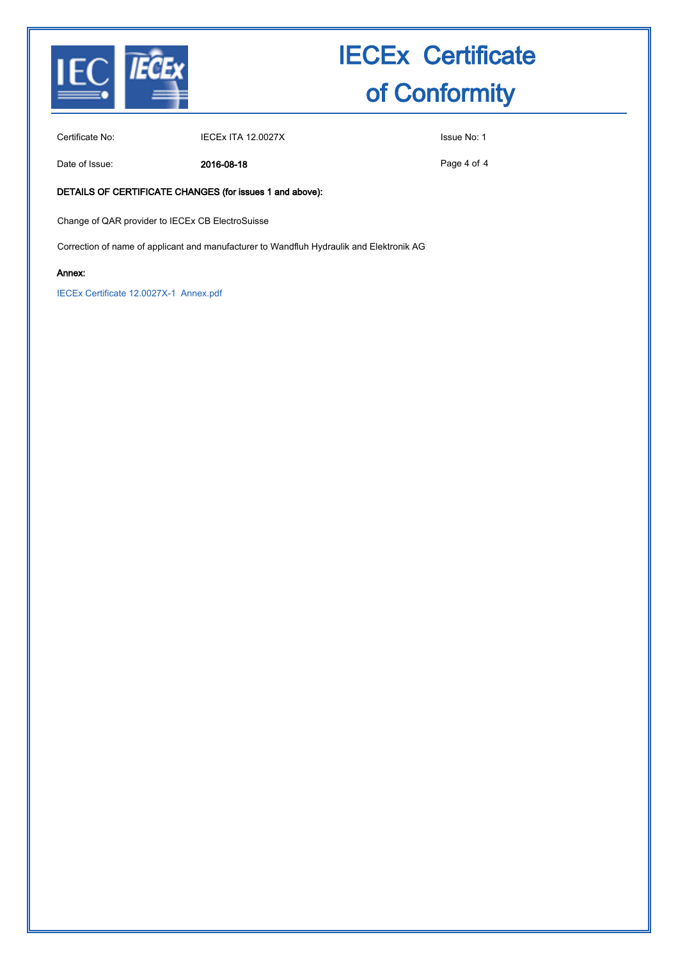

Certificate No: IECEX ITA 12.0027X ISSUE No: 1

Date of Issue: 2016-08-18

Page 4 of 4

#### DETAILS OF CERTIFICATE CHANGES (for issues 1 and above):

Change of QAR provider to IECEx CB ElectroSuisse

Correction of name of applicant and manufacturer to Wandfluh Hydraulik and Elektronik AG

#### Annex:

IECEx Certificate 12.0027X-1 Annex.pdf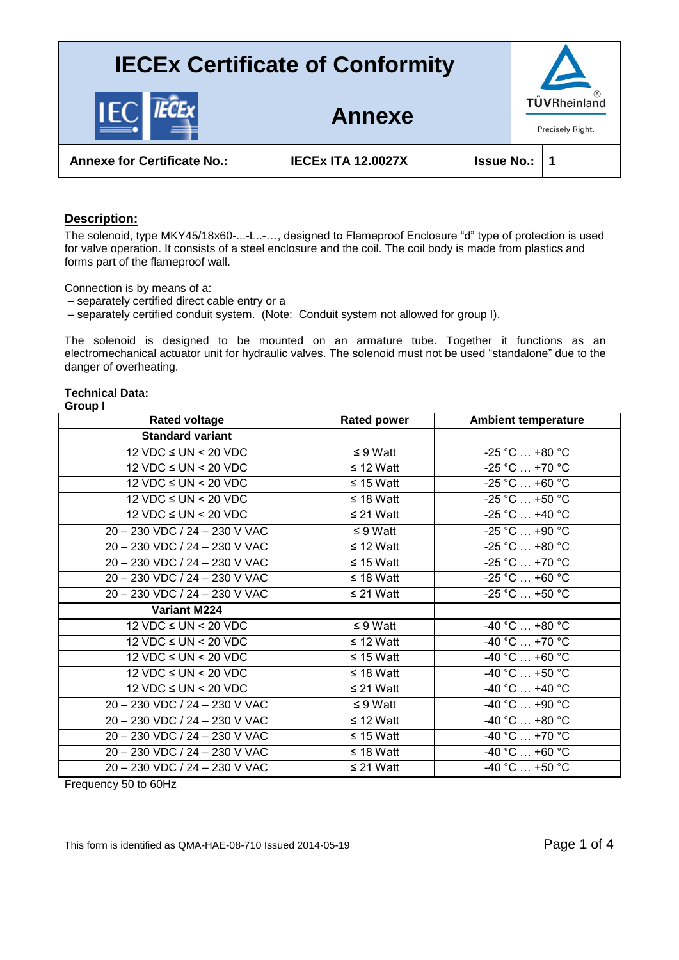



**Annexe for Certificate No.: IECEx ITA 12.0027X Issue No.: 1**

### **Description:**

The solenoid, type MKY45/18x60-...-L..-..., designed to Flameproof Enclosure "d" type of protection is used for valve operation. It consists of a steel enclosure and the coil. The coil body is made from plastics and forms part of the flameproof wall.

Connection is by means of a:

– separately certified direct cable entry or a

– separately certified conduit system. (Note: Conduit system not allowed for group I).

The solenoid is designed to be mounted on an armature tube. Together it functions as an electromechanical actuator unit for hydraulic valves. The solenoid must not be used "standalone" due to the danger of overheating.

#### **Technical Data:**

**Group I** 

| <b>Rated voltage</b>             | <b>Rated power</b> | <b>Ambient temperature</b>          |
|----------------------------------|--------------------|-------------------------------------|
| <b>Standard variant</b>          |                    |                                     |
| 12 VDC $\leq$ UN $<$ 20 VDC      | $\leq 9$ Watt      | $-25 °C  +80 °C$                    |
| $12$ VDC $\leq$ UN $<$ 20 VDC    | $\leq$ 12 Watt     | $-25^{\circ}$ C $ + 70^{\circ}$ C   |
| $12$ VDC $\leq$ UN $<$ 20 VDC    | $\leq$ 15 Watt     | $-25 °C  +60 °C$                    |
| $12$ VDC $\leq$ UN $<$ 20 VDC    | $\leq$ 18 Watt     | $-25^{\circ}$ C $$ +50 $^{\circ}$ C |
| $12$ VDC $\leq$ UN $<$ 20 VDC    | $\leq$ 21 Watt     | $-25 °C  +40 °C$                    |
| 20 - 230 VDC / 24 - 230 V VAC    | $\leq 9$ Watt      | $-25 °C  +90 °C$                    |
| 20 - 230 VDC / 24 - 230 V VAC    | $\leq$ 12 Watt     | $-25 °C  +80 °C$                    |
| 20 - 230 VDC / 24 - 230 V VAC    | $\leq$ 15 Watt     | $-25 °C  +70 °C$                    |
| 20 - 230 VDC / 24 - 230 V VAC    | $\leq$ 18 Watt     | $-25 °C  +60 °C$                    |
| 20 - 230 VDC / 24 - 230 V VAC    | $\leq$ 21 Watt     | $-25$ °C $$ +50 °C                  |
| <b>Variant M224</b>              |                    |                                     |
| $12$ VDC $\leq$ UN $\leq$ 20 VDC | $\leq 9$ Watt      | $-40 °C  +80 °C$                    |
| 12 VDC $\leq$ UN $<$ 20 VDC      | $\leq$ 12 Watt     | $-40 °C  +70 °C$                    |
| 12 VDC $\leq$ UN $<$ 20 VDC      | $\leq$ 15 Watt     | $-40 °C  +60 °C$                    |
| $12$ VDC $\leq$ UN $<$ 20 VDC    | $\leq$ 18 Watt     | $-40 °C  +50 °C$                    |
| $12$ VDC $\leq$ UN $<$ 20 VDC    | $\leq$ 21 Watt     | $-40 °C$ +40 °C                     |
| 20 - 230 VDC / 24 - 230 V VAC    | $\leq 9$ Watt      | $-40 °C  +90 °C$                    |
| 20 - 230 VDC / 24 - 230 V VAC    | $\leq$ 12 Watt     | $-40 °C  +80 °C$                    |
| 20 - 230 VDC / 24 - 230 V VAC    | $\leq$ 15 Watt     | $-40 °C  +70 °C$                    |
| 20 - 230 VDC / 24 - 230 V VAC    | $\leq$ 18 Watt     | $-40 °C  +60 °C$                    |
| 20 - 230 VDC / 24 - 230 V VAC    | $\leq$ 21 Watt     | $-40 °C  +50 °C$                    |

Frequency 50 to 60Hz

This form is identified as QMA-HAE-08-710 Issued 2014-05-19 Page 1 of 4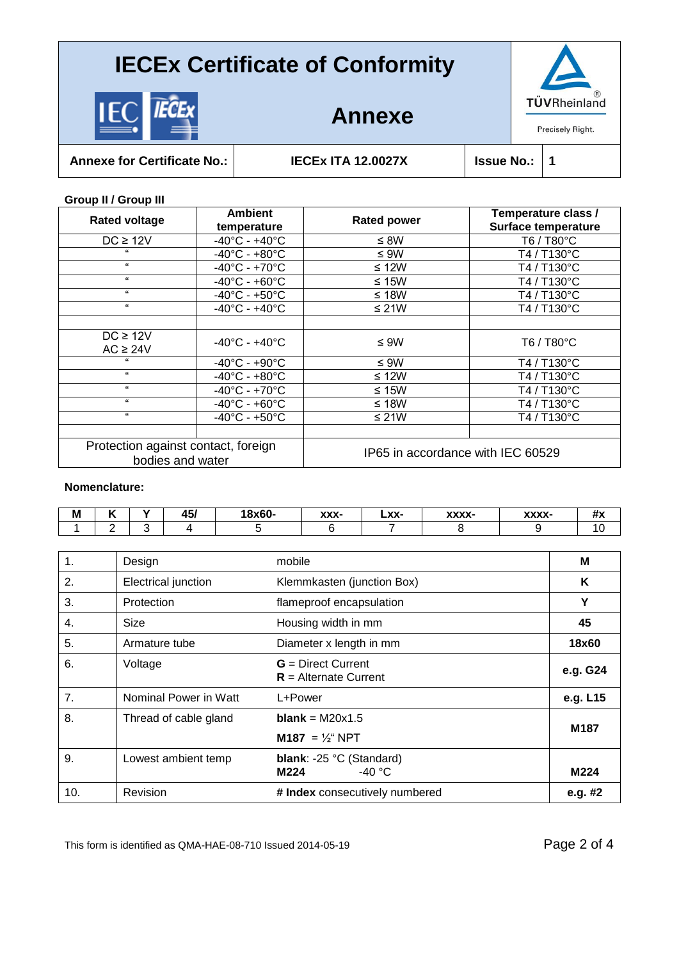

## **Annexe**



**Annexe for Certificate No.: IECEx ITA 12.0027X Issue No.: 1**

**Group II / Group III** 

| <b>Rated voltage</b>                                    | <b>Ambient</b>                     | <b>Rated power</b> | Temperature class /               |  |
|---------------------------------------------------------|------------------------------------|--------------------|-----------------------------------|--|
|                                                         | temperature                        |                    | <b>Surface temperature</b>        |  |
| $DC \geq 12V$                                           | $-40^{\circ}$ C - $+40^{\circ}$ C  | $\leq$ 8W          | T6 / T80°C                        |  |
| $\epsilon$                                              | $-40^{\circ}$ C - $+80^{\circ}$ C  | $\leq 9W$          | T4 / T130°C                       |  |
| $\epsilon$                                              | $-40^{\circ}$ C - +70 $^{\circ}$ C | ≤ 12W              | T4 / T130°C                       |  |
| $\epsilon$                                              | $-40^{\circ}$ C - $+60^{\circ}$ C  | ≤ 15 $W$           | T4 / T130°C                       |  |
| $\epsilon\epsilon$                                      | $-40^{\circ}$ C - $+50^{\circ}$ C  | ≤ 18W              | T4 / T130°C                       |  |
| $\epsilon\epsilon$                                      | $-40^{\circ}$ C - $+40^{\circ}$ C  | ≤ 21 $W$           | T4 / T130°C                       |  |
|                                                         |                                    |                    |                                   |  |
| $DC \geq 12V$                                           | $-40^{\circ}$ C - $+40^{\circ}$ C  | $\leq 9W$          | T6 / T80°C                        |  |
| $AC \geq 24V$                                           |                                    |                    |                                   |  |
| $\epsilon$                                              | $-40^{\circ}$ C - $+90^{\circ}$ C  | $\leq 9W$          | T4 / T130°C                       |  |
| $\epsilon$                                              | $-40^{\circ}$ C - $+80^{\circ}$ C  | ≤ 12W              | T4 / T130°C                       |  |
| 66                                                      | $-40^{\circ}$ C - +70 $^{\circ}$ C | ≤ 15 $W$           | T4 / T130°C                       |  |
| $\epsilon$                                              | $-40^{\circ}$ C - $+60^{\circ}$ C  | ≤ 18W              | T4 / T130°C                       |  |
| $\epsilon\epsilon$                                      | $-40^{\circ}$ C - $+50^{\circ}$ C  | ≤ 21 $W$           | T4 / T130°C                       |  |
|                                                         |                                    |                    |                                   |  |
| Protection against contact, foreign<br>bodies and water |                                    |                    | IP65 in accordance with IEC 60529 |  |

#### **Nomenclature:**

| M |  | .<br>−™ | 0.60<br>-uov<br>גסו | XXX- | LXX- | www<br>ᄉᄉᄉ | <b>WWWW</b><br>^^^^ | 11 A |
|---|--|---------|---------------------|------|------|------------|---------------------|------|
|   |  |         |                     |      |      |            |                     |      |

| 1.  | Design                | mobile                                          | M        |
|-----|-----------------------|-------------------------------------------------|----------|
| 2.  | Electrical junction   | Klemmkasten (junction Box)                      | K        |
| 3.  | Protection            | flameproof encapsulation                        | Υ        |
| 4.  | Size                  | Housing width in mm                             | 45       |
| 5.  | Armature tube         | Diameter x length in mm                         | 18x60    |
| 6.  | Voltage               | $G = Direct Current$<br>$R =$ Alternate Current | e.g. G24 |
| 7.  | Nominal Power in Watt | L+Power                                         | e.g. L15 |
| 8.  | Thread of cable gland | <b>blank</b> = $M20x1.5$                        | M187     |
|     |                       | <b>M187</b> = $\frac{1}{2}$ NPT                 |          |
| 9.  | Lowest ambient temp   | blank: -25 °C (Standard)<br>$-40 °C$<br>M224    | M224     |
|     |                       |                                                 |          |
| 10. | Revision              | # Index consecutively numbered                  | e.g. #2  |

This form is identified as QMA-HAE-08-710 Issued 2014-05-19 Page 2 of 4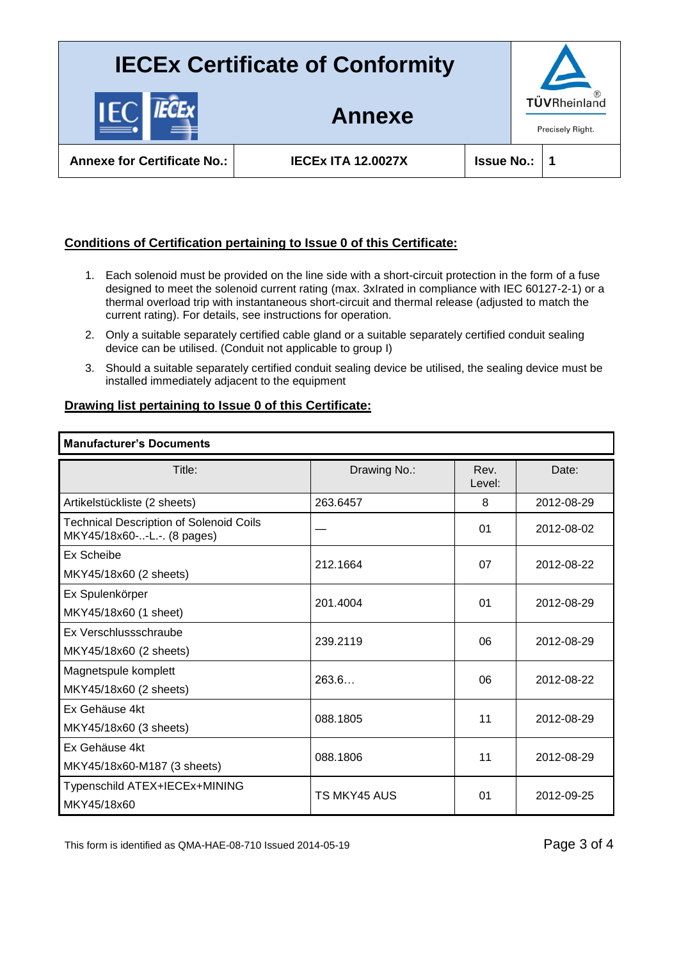**Annexe**

**Annexe for Certificate No.: IECEx ITA 12.0027X Issue No.: 1**

## **Conditions of Certification pertaining to Issue 0 of this Certificate:**

- 1. Each solenoid must be provided on the line side with a short-circuit protection in the form of a fuse designed to meet the solenoid current rating (max. 3xIrated in compliance with IEC 60127-2-1) or a thermal overload trip with instantaneous short-circuit and thermal release (adjusted to match the current rating). For details, see instructions for operation.
- 2. Only a suitable separately certified cable gland or a suitable separately certified conduit sealing device can be utilised. (Conduit not applicable to group I)
- 3. Should a suitable separately certified conduit sealing device be utilised, the sealing device must be installed immediately adjacent to the equipment

### **Drawing list pertaining to Issue 0 of this Certificate:**

#### **Manufacturer's Documents**

| Title:                                                                        | Drawing No.: | Rev.<br>Level: | Date:      |  |
|-------------------------------------------------------------------------------|--------------|----------------|------------|--|
| Artikelstückliste (2 sheets)                                                  | 263.6457     | 8              | 2012-08-29 |  |
| <b>Technical Description of Solenoid Coils</b><br>MKY45/18x60--L.-. (8 pages) |              | 01             | 2012-08-02 |  |
| Ex Scheibe                                                                    | 212.1664     | 07             | 2012-08-22 |  |
| MKY45/18x60 (2 sheets)                                                        |              |                |            |  |
| Ex Spulenkörper                                                               | 201.4004     | 01             | 2012-08-29 |  |
| MKY45/18x60 (1 sheet)                                                         |              |                |            |  |
| Ex Verschlussschraube                                                         | 239.2119     | 06             | 2012-08-29 |  |
| MKY45/18x60 (2 sheets)                                                        |              |                |            |  |
| Magnetspule komplett                                                          | 263.6        | 06             | 2012-08-22 |  |
| MKY45/18x60 (2 sheets)                                                        |              |                |            |  |
| Ex Gehäuse 4kt                                                                | 088.1805     | 11             | 2012-08-29 |  |
| MKY45/18x60 (3 sheets)                                                        |              |                |            |  |
| Ex Gehäuse 4kt                                                                | 088.1806     | 11             | 2012-08-29 |  |
| MKY45/18x60-M187 (3 sheets)                                                   |              |                |            |  |
| Typenschild ATEX+IECEx+MINING                                                 | TS MKY45 AUS | 01             | 2012-09-25 |  |
| MKY45/18x60                                                                   |              |                |            |  |

This form is identified as QMA-HAE-08-710 Issued 2014-05-19 Page 3 of 4